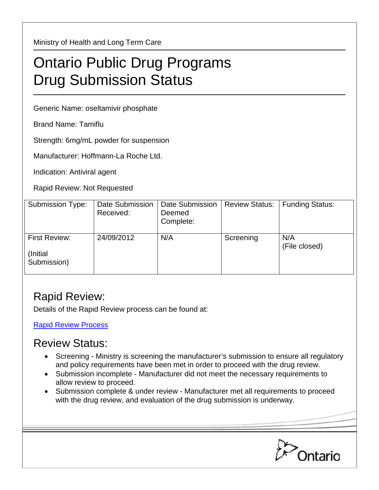Ministry of Health and Long Term Care

## Ontario Public Drug Programs Drug Submission Status

Generic Name: oseltamivir phosphate

Brand Name: Tamiflu

Strength: 6mg/mL powder for suspension

Manufacturer: Hoffmann-La Roche Ltd.

Indication: Antiviral agent

Rapid Review: Not Requested

| Submission Type:                         | <b>Date Submission</b><br>Received: | Date Submission<br>Deemed<br>Complete: | <b>Review Status:</b> | <b>Funding Status:</b> |
|------------------------------------------|-------------------------------------|----------------------------------------|-----------------------|------------------------|
| First Review:<br>(Initial<br>Submission) | 24/09/2012                          | N/A                                    | Screening             | N/A<br>(File closed)   |

## Rapid Review:

Details of the Rapid Review process can be found at:

[Rapid Review Process](http://www.health.gov.on.ca/en/pro/programs/drugs/drug_submissions/rapid_review_process.aspx)

## Review Status:

- Screening Ministry is screening the manufacturer's submission to ensure all regulatory and policy requirements have been met in order to proceed with the drug review.
- Submission incomplete Manufacturer did not meet the necessary requirements to allow review to proceed.
- Submission complete & under review Manufacturer met all requirements to proceed with the drug review, and evaluation of the drug submission is underway.